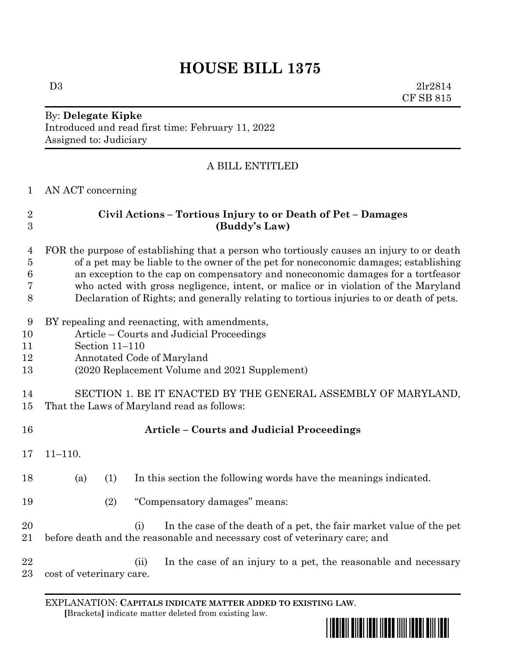# **HOUSE BILL 1375**

 $D3$   $2lr2814$ CF SB 815

## By: **Delegate Kipke** Introduced and read first time: February 11, 2022 Assigned to: Judiciary

### A BILL ENTITLED

AN ACT concerning

| $\overline{2}$<br>3 | Civil Actions - Tortious Injury to or Death of Pet - Damages<br>(Buddy's Law)                                                                            |
|---------------------|----------------------------------------------------------------------------------------------------------------------------------------------------------|
| 4                   | FOR the purpose of establishing that a person who tortiously causes an injury to or death                                                                |
| $\overline{5}$      | of a pet may be liable to the owner of the pet for noneconomic damages; establishing                                                                     |
| 6                   | an exception to the cap on compensatory and noneconomic damages for a tortfeasor                                                                         |
| 7                   | who acted with gross negligence, intent, or malice or in violation of the Maryland                                                                       |
| 8                   | Declaration of Rights; and generally relating to tortious injuries to or death of pets.                                                                  |
| 9                   | BY repealing and reenacting, with amendments,                                                                                                            |
| 10                  | Article – Courts and Judicial Proceedings                                                                                                                |
| 11                  | Section 11-110                                                                                                                                           |
| 12                  | Annotated Code of Maryland                                                                                                                               |
| 13                  | (2020 Replacement Volume and 2021 Supplement)                                                                                                            |
| 14                  | SECTION 1. BE IT ENACTED BY THE GENERAL ASSEMBLY OF MARYLAND,                                                                                            |
| 15                  | That the Laws of Maryland read as follows:                                                                                                               |
| 16                  | <b>Article - Courts and Judicial Proceedings</b>                                                                                                         |
| 17                  | $11 - 110.$                                                                                                                                              |
| 18                  | In this section the following words have the meanings indicated.<br>(a)<br>(1)                                                                           |
| 19                  | (2)<br>"Compensatory damages" means:                                                                                                                     |
| 20<br>21            | In the case of the death of a pet, the fair market value of the pet<br>(i)<br>before death and the reasonable and necessary cost of veterinary care; and |
| 22<br>23            | In the case of an injury to a pet, the reasonable and necessary<br>(ii)<br>cost of veterinary care.                                                      |

EXPLANATION: **CAPITALS INDICATE MATTER ADDED TO EXISTING LAW**.  **[**Brackets**]** indicate matter deleted from existing law.

\*hb1375\*